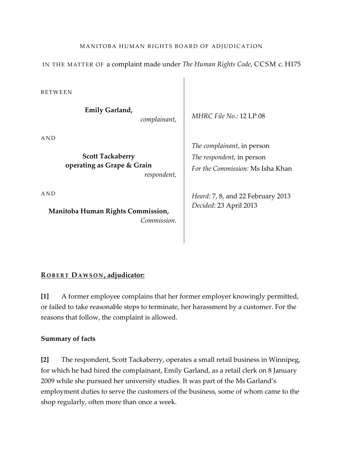## MANITOBA HUMAN RIGHTS BOARD OF ADJUDICATION

IN THE MATTER OF a complaint made under *The Human Rights Code*, CCSM c. H175

**BETWEEN** 

**Emily Garland,**

*complainant*,

A N D

**Scott Tackaberry operating as Grape & Grain** *respondent,*

A N D

**Manitoba Human Rights Commission,** *Commission.* *MHRC File No.:* 12 LP 08

*The complainant*, in person *The respondent*, in person *For the Commission:* Ms Isha Khan

*Heard:* 7, 8, and 22 February 2013 *Decided*: 23 April 2013

## **R O B E R T DA W S O N , adjudicator:**

**[1]** A former employee complains that her former employer knowingly permitted, or failed to take reasonable steps to terminate, her harassment by a customer. For the reasons that follow, the complaint is allowed.

### **Summary of facts**

**[2]** The respondent, Scott Tackaberry, operates a small retail business in Winnipeg, for which he had hired the complainant, Emily Garland, as a retail clerk on 8 January 2009 while she pursued her university studies. It was part of the Ms Garland's employment duties to serve the customers of the business, some of whom came to the shop regularly, often more than once a week.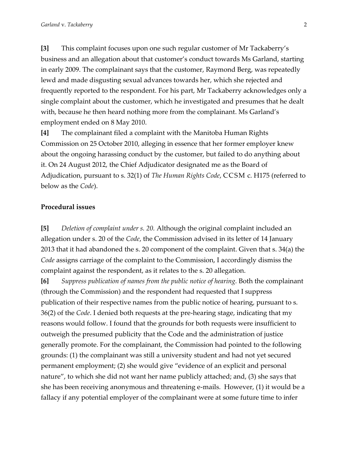**[3]** This complaint focuses upon one such regular customer of Mr Tackaberry's business and an allegation about that customer's conduct towards Ms Garland, starting in early 2009. The complainant says that the customer, Raymond Berg, was repeatedly lewd and made disgusting sexual advances towards her, which she rejected and frequently reported to the respondent. For his part, Mr Tackaberry acknowledges only a single complaint about the customer, which he investigated and presumes that he dealt with, because he then heard nothing more from the complainant. Ms Garland's employment ended on 8 May 2010.

**[4]** The complainant filed a complaint with the Manitoba Human Rights Commission on 25 October 2010, alleging in essence that her former employer knew about the ongoing harassing conduct by the customer, but failed to do anything about it. On 24 August 2012, the Chief Adjudicator designated me as the Board of Adjudication, pursuant to s. 32(1) of *The Human Rights Code*, CCSM c. H175 (referred to below as the *Code*).

#### **Procedural issues**

**[5]** *Deletion of complaint under s. 20.* Although the original complaint included an allegation under s. 20 of the *Code*, the Commission advised in its letter of 14 January 2013 that it had abandoned the s. 20 component of the complaint. Given that s. 34(a) the *Code* assigns carriage of the complaint to the Commission, I accordingly dismiss the complaint against the respondent, as it relates to the s. 20 allegation.

**[6]** *Suppress publication of names from the public notice of hearing.* Both the complainant (through the Commission) and the respondent had requested that I suppress publication of their respective names from the public notice of hearing, pursuant to s. 36(2) of the *Code*. I denied both requests at the pre-hearing stage, indicating that my reasons would follow. I found that the grounds for both requests were insufficient to outweigh the presumed publicity that the Code and the administration of justice generally promote. For the complainant, the Commission had pointed to the following grounds: (1) the complainant was still a university student and had not yet secured permanent employment; (2) she would give "evidence of an explicit and personal nature", to which she did not want her name publicly attached; and, (3) she says that she has been receiving anonymous and threatening e-mails. However, (1) it would be a fallacy if any potential employer of the complainant were at some future time to infer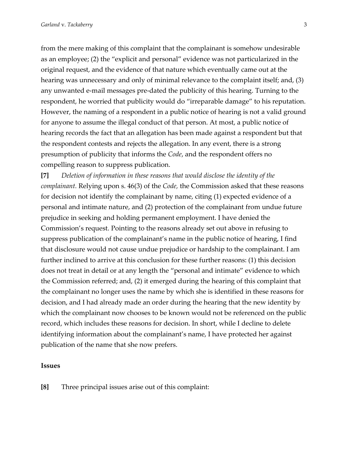from the mere making of this complaint that the complainant is somehow undesirable as an employee; (2) the "explicit and personal" evidence was not particularized in the original request, and the evidence of that nature which eventually came out at the hearing was unnecessary and only of minimal relevance to the complaint itself; and, (3) any unwanted e-mail messages pre-dated the publicity of this hearing. Turning to the respondent, he worried that publicity would do "irreparable damage" to his reputation. However, the naming of a respondent in a public notice of hearing is not a valid ground for anyone to assume the illegal conduct of that person. At most, a public notice of hearing records the fact that an allegation has been made against a respondent but that the respondent contests and rejects the allegation. In any event, there is a strong presumption of publicity that informs the *Code*, and the respondent offers no compelling reason to suppress publication.

**[7]** *Deletion of information in these reasons that would disclose the identity of the complainant.* Relying upon s. 46(3) of the *Code,* the Commission asked that these reasons for decision not identify the complainant by name, citing (1) expected evidence of a personal and intimate nature, and (2) protection of the complainant from undue future prejudice in seeking and holding permanent employment. I have denied the Commission's request. Pointing to the reasons already set out above in refusing to suppress publication of the complainant's name in the public notice of hearing, I find that disclosure would not cause undue prejudice or hardship to the complainant. I am further inclined to arrive at this conclusion for these further reasons: (1) this decision does not treat in detail or at any length the "personal and intimate" evidence to which the Commission referred; and, (2) it emerged during the hearing of this complaint that the complainant no longer uses the name by which she is identified in these reasons for decision, and I had already made an order during the hearing that the new identity by which the complainant now chooses to be known would not be referenced on the public record, which includes these reasons for decision. In short, while I decline to delete identifying information about the complainant's name, I have protected her against publication of the name that she now prefers.

#### **Issues**

**[8]** Three principal issues arise out of this complaint: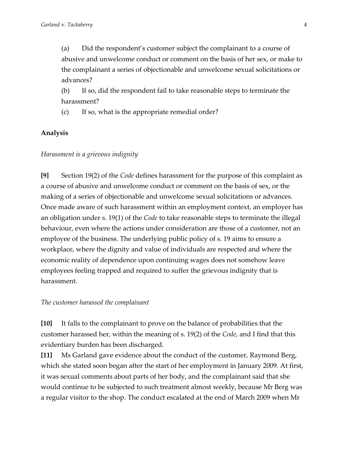(a) Did the respondent's customer subject the complainant to a course of abusive and unwelcome conduct or comment on the basis of her sex, or make to the complainant a series of objectionable and unwelcome sexual solicitations or advances?

(b) If so, did the respondent fail to take reasonable steps to terminate the harassment?

(c) If so, what is the appropriate remedial order?

## **Analysis**

#### *Harassment is a grievous indignity*

**[9]** Section 19(2) of the *Code* defines harassment for the purpose of this complaint as a course of abusive and unwelcome conduct or comment on the basis of sex, or the making of a series of objectionable and unwelcome sexual solicitations or advances. Once made aware of such harassment within an employment context, an employer has an obligation under s. 19(1) of the *Code* to take reasonable steps to terminate the illegal behaviour, even where the actions under consideration are those of a customer, not an employee of the business. The underlying public policy of s. 19 aims to ensure a workplace, where the dignity and value of individuals are respected and where the economic reality of dependence upon continuing wages does not somehow leave employees feeling trapped and required to suffer the grievous indignity that is harassment.

#### *The customer harassed the complainant*

**[10]** It falls to the complainant to prove on the balance of probabilities that the customer harassed her, within the meaning of s. 19(2) of the *Code*, and I find that this evidentiary burden has been discharged.

**[11]** Ms Garland gave evidence about the conduct of the customer, Raymond Berg, which she stated soon began after the start of her employment in January 2009. At first, it was sexual comments about parts of her body, and the complainant said that she would continue to be subjected to such treatment almost weekly, because Mr Berg was a regular visitor to the shop. The conduct escalated at the end of March 2009 when Mr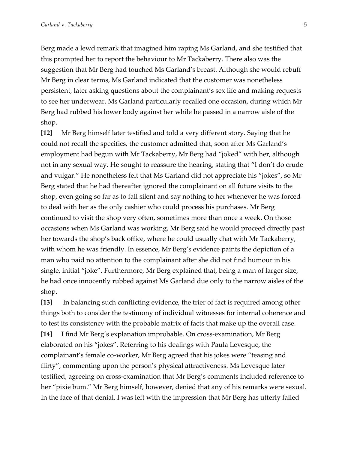Berg made a lewd remark that imagined him raping Ms Garland, and she testified that this prompted her to report the behaviour to Mr Tackaberry. There also was the suggestion that Mr Berg had touched Ms Garland's breast. Although she would rebuff Mr Berg in clear terms, Ms Garland indicated that the customer was nonetheless persistent, later asking questions about the complainant's sex life and making requests to see her underwear. Ms Garland particularly recalled one occasion, during which Mr Berg had rubbed his lower body against her while he passed in a narrow aisle of the shop.

**[12]** Mr Berg himself later testified and told a very different story. Saying that he could not recall the specifics, the customer admitted that, soon after Ms Garland's employment had begun with Mr Tackaberry, Mr Berg had "joked" with her, although not in any sexual way. He sought to reassure the hearing, stating that "I don't do crude and vulgar." He nonetheless felt that Ms Garland did not appreciate his "jokes", so Mr Berg stated that he had thereafter ignored the complainant on all future visits to the shop, even going so far as to fall silent and say nothing to her whenever he was forced to deal with her as the only cashier who could process his purchases. Mr Berg continued to visit the shop very often, sometimes more than once a week. On those occasions when Ms Garland was working, Mr Berg said he would proceed directly past her towards the shop's back office, where he could usually chat with Mr Tackaberry, with whom he was friendly. In essence, Mr Berg's evidence paints the depiction of a man who paid no attention to the complainant after she did not find humour in his single, initial "joke". Furthermore, Mr Berg explained that, being a man of larger size, he had once innocently rubbed against Ms Garland due only to the narrow aisles of the shop.

**[13]** In balancing such conflicting evidence, the trier of fact is required among other things both to consider the testimony of individual witnesses for internal coherence and to test its consistency with the probable matrix of facts that make up the overall case. **[14]** I find Mr Berg's explanation improbable. On cross-examination, Mr Berg elaborated on his "jokes". Referring to his dealings with Paula Levesque, the complainant's female co-worker, Mr Berg agreed that his jokes were "teasing and flirty", commenting upon the person's physical attractiveness. Ms Levesque later testified, agreeing on cross-examination that Mr Berg's comments included reference to her "pixie bum." Mr Berg himself, however, denied that any of his remarks were sexual. In the face of that denial, I was left with the impression that Mr Berg has utterly failed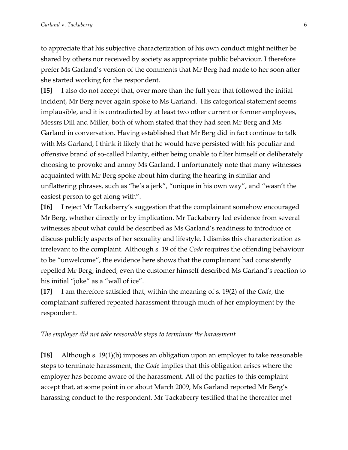to appreciate that his subjective characterization of his own conduct might neither be shared by others nor received by society as appropriate public behaviour. I therefore prefer Ms Garland's version of the comments that Mr Berg had made to her soon after she started working for the respondent.

**[15]** I also do not accept that, over more than the full year that followed the initial incident, Mr Berg never again spoke to Ms Garland. His categorical statement seems implausible, and it is contradicted by at least two other current or former employees, Messrs Dill and Miller, both of whom stated that they had seen Mr Berg and Ms Garland in conversation. Having established that Mr Berg did in fact continue to talk with Ms Garland, I think it likely that he would have persisted with his peculiar and offensive brand of so-called hilarity, either being unable to filter himself or deliberately choosing to provoke and annoy Ms Garland. I unfortunately note that many witnesses acquainted with Mr Berg spoke about him during the hearing in similar and unflattering phrases, such as "he's a jerk", "unique in his own way", and "wasn't the easiest person to get along with".

**[16]** I reject Mr Tackaberry's suggestion that the complainant somehow encouraged Mr Berg, whether directly or by implication. Mr Tackaberry led evidence from several witnesses about what could be described as Ms Garland's readiness to introduce or discuss publicly aspects of her sexuality and lifestyle. I dismiss this characterization as irrelevant to the complaint. Although s. 19 of the *Code* requires the offending behaviour to be "unwelcome", the evidence here shows that the complainant had consistently repelled Mr Berg; indeed, even the customer himself described Ms Garland's reaction to his initial "joke" as a "wall of ice".

**[17]** I am therefore satisfied that, within the meaning of s. 19(2) of the *Code*, the complainant suffered repeated harassment through much of her employment by the respondent.

#### *The employer did not take reasonable steps to terminate the harassment*

**[18]** Although s. 19(1)(b) imposes an obligation upon an employer to take reasonable steps to terminate harassment, the *Code* implies that this obligation arises where the employer has become aware of the harassment. All of the parties to this complaint accept that, at some point in or about March 2009, Ms Garland reported Mr Berg's harassing conduct to the respondent. Mr Tackaberry testified that he thereafter met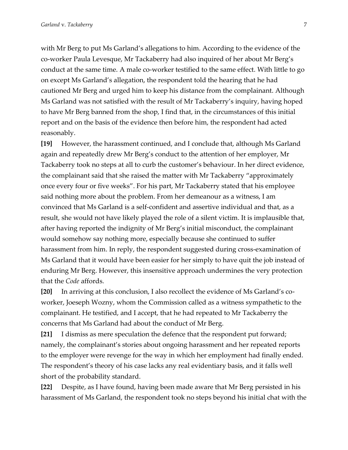with Mr Berg to put Ms Garland's allegations to him. According to the evidence of the co-worker Paula Levesque, Mr Tackaberry had also inquired of her about Mr Berg's conduct at the same time. A male co-worker testified to the same effect. With little to go on except Ms Garland's allegation, the respondent told the hearing that he had cautioned Mr Berg and urged him to keep his distance from the complainant. Although Ms Garland was not satisfied with the result of Mr Tackaberry's inquiry, having hoped to have Mr Berg banned from the shop, I find that, in the circumstances of this initial report and on the basis of the evidence then before him, the respondent had acted reasonably.

**[19]** However, the harassment continued, and I conclude that, although Ms Garland again and repeatedly drew Mr Berg's conduct to the attention of her employer, Mr Tackaberry took no steps at all to curb the customer's behaviour. In her direct evidence, the complainant said that she raised the matter with Mr Tackaberry "approximately once every four or five weeks". For his part, Mr Tackaberry stated that his employee said nothing more about the problem. From her demeanour as a witness, I am convinced that Ms Garland is a self-confident and assertive individual and that, as a result, she would not have likely played the role of a silent victim. It is implausible that, after having reported the indignity of Mr Berg's initial misconduct, the complainant would somehow say nothing more, especially because she continued to suffer harassment from him. In reply, the respondent suggested during cross-examination of Ms Garland that it would have been easier for her simply to have quit the job instead of enduring Mr Berg. However, this insensitive approach undermines the very protection that the *Code* affords.

**[20]** In arriving at this conclusion, I also recollect the evidence of Ms Garland's coworker, Joeseph Wozny, whom the Commission called as a witness sympathetic to the complainant. He testified, and I accept, that he had repeated to Mr Tackaberry the concerns that Ms Garland had about the conduct of Mr Berg.

**[21]** I dismiss as mere speculation the defence that the respondent put forward; namely, the complainant's stories about ongoing harassment and her repeated reports to the employer were revenge for the way in which her employment had finally ended. The respondent's theory of his case lacks any real evidentiary basis, and it falls well short of the probability standard.

**[22]** Despite, as I have found, having been made aware that Mr Berg persisted in his harassment of Ms Garland, the respondent took no steps beyond his initial chat with the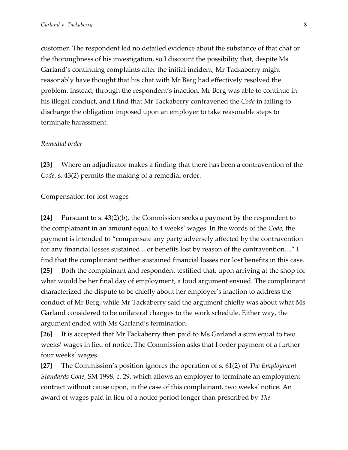customer. The respondent led no detailed evidence about the substance of that chat or the thoroughness of his investigation, so I discount the possibility that, despite Ms Garland's continuing complaints after the initial incident, Mr Tackaberry might reasonably have thought that his chat with Mr Berg had effectively resolved the problem. Instead, through the respondent's inaction, Mr Berg was able to continue in his illegal conduct, and I find that Mr Tackaberry contravened the *Code* in failing to discharge the obligation imposed upon an employer to take reasonable steps to terminate harassment.

#### *Remedial order*

**[23]** Where an adjudicator makes a finding that there has been a contravention of the *Code*, s. 43(2) permits the making of a remedial order.

Compensation for lost wages

**[24]** Pursuant to s. 43(2)(b), the Commission seeks a payment by the respondent to the complainant in an amount equal to 4 weeks' wages. In the words of the *Code*, the payment is intended to "compensate any party adversely affected by the contravention for any financial losses sustained... or benefits lost by reason of the contravention...." I find that the complainant neither sustained financial losses nor lost benefits in this case. **[25]** Both the complainant and respondent testified that, upon arriving at the shop for what would be her final day of employment, a loud argument ensued. The complainant characterized the dispute to be chiefly about her employer's inaction to address the conduct of Mr Berg, while Mr Tackaberry said the argument chiefly was about what Ms Garland considered to be unilateral changes to the work schedule. Either way, the argument ended with Ms Garland's termination.

**[26]** It is accepted that Mr Tackaberry then paid to Ms Garland a sum equal to two weeks' wages in lieu of notice. The Commission asks that I order payment of a further four weeks' wages.

**[27]** The Commission's position ignores the operation of s. 61(2) of *The Employment Standards Code*, SM 1998, c. 29, which allows an employer to terminate an employment contract without cause upon, in the case of this complainant, two weeks' notice. An award of wages paid in lieu of a notice period longer than prescribed by *The*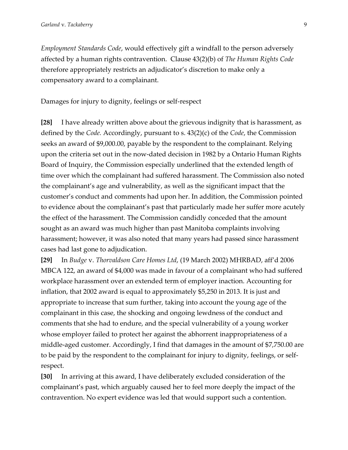*Employment Standards Code*, would effectively gift a windfall to the person adversely affected by a human rights contravention. Clause 43(2)(b) of *The Human Rights Code* therefore appropriately restricts an adjudicator's discretion to make only a compensatory award to a complainant.

Damages for injury to dignity, feelings or self-respect

**[28]** I have already written above about the grievous indignity that is harassment, as defined by the *Code.* Accordingly, pursuant to s. 43(2)(c) of the *Code*, the Commission seeks an award of \$9,000.00, payable by the respondent to the complainant. Relying upon the criteria set out in the now-dated decision in 1982 by a Ontario Human Rights Board of Inquiry, the Commission especially underlined that the extended length of time over which the complainant had suffered harassment. The Commission also noted the complainant's age and vulnerability, as well as the significant impact that the customer's conduct and comments had upon her. In addition, the Commission pointed to evidence about the complainant's past that particularly made her suffer more acutely the effect of the harassment. The Commission candidly conceded that the amount sought as an award was much higher than past Manitoba complaints involving harassment; however, it was also noted that many years had passed since harassment cases had last gone to adjudication.

**[29]** In *Budge* v. *Thorvaldson Care Homes Ltd*, (19 March 2002) MHRBAD, aff'd 2006 MBCA 122, an award of \$4,000 was made in favour of a complainant who had suffered workplace harassment over an extended term of employer inaction. Accounting for inflation, that 2002 award is equal to approximately \$5,250 in 2013. It is just and appropriate to increase that sum further, taking into account the young age of the complainant in this case, the shocking and ongoing lewdness of the conduct and comments that she had to endure, and the special vulnerability of a young worker whose employer failed to protect her against the abhorrent inappropriateness of a middle-aged customer. Accordingly, I find that damages in the amount of \$7,750.00 are to be paid by the respondent to the complainant for injury to dignity, feelings, or selfrespect.

**[30]** In arriving at this award, I have deliberately excluded consideration of the complainant's past, which arguably caused her to feel more deeply the impact of the contravention. No expert evidence was led that would support such a contention.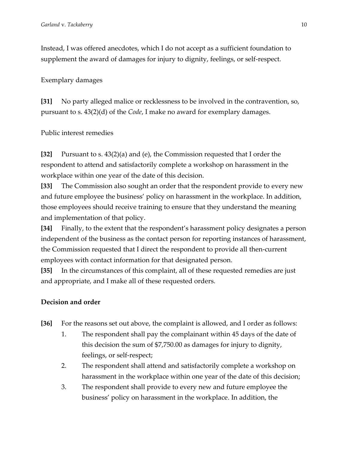Instead, I was offered anecdotes, which I do not accept as a sufficient foundation to supplement the award of damages for injury to dignity, feelings, or self-respect.

Exemplary damages

**[31]** No party alleged malice or recklessness to be involved in the contravention, so, pursuant to s. 43(2)(d) of the *Code*, I make no award for exemplary damages.

Public interest remedies

**[32]** Pursuant to s. 43(2)(a) and (e), the Commission requested that I order the respondent to attend and satisfactorily complete a workshop on harassment in the workplace within one year of the date of this decision.

**[33]** The Commission also sought an order that the respondent provide to every new and future employee the business' policy on harassment in the workplace. In addition, those employees should receive training to ensure that they understand the meaning and implementation of that policy.

**[34]** Finally, to the extent that the respondent's harassment policy designates a person independent of the business as the contact person for reporting instances of harassment, the Commission requested that I direct the respondent to provide all then-current employees with contact information for that designated person.

**[35]** In the circumstances of this complaint, all of these requested remedies are just and appropriate, and I make all of these requested orders.

# **Decision and order**

- **[36]** For the reasons set out above, the complaint is allowed, and I order as follows:
	- 1. The respondent shall pay the complainant within 45 days of the date of this decision the sum of \$7,750.00 as damages for injury to dignity, feelings, or self-respect;
	- 2. The respondent shall attend and satisfactorily complete a workshop on harassment in the workplace within one year of the date of this decision;
	- 3. The respondent shall provide to every new and future employee the business' policy on harassment in the workplace. In addition, the